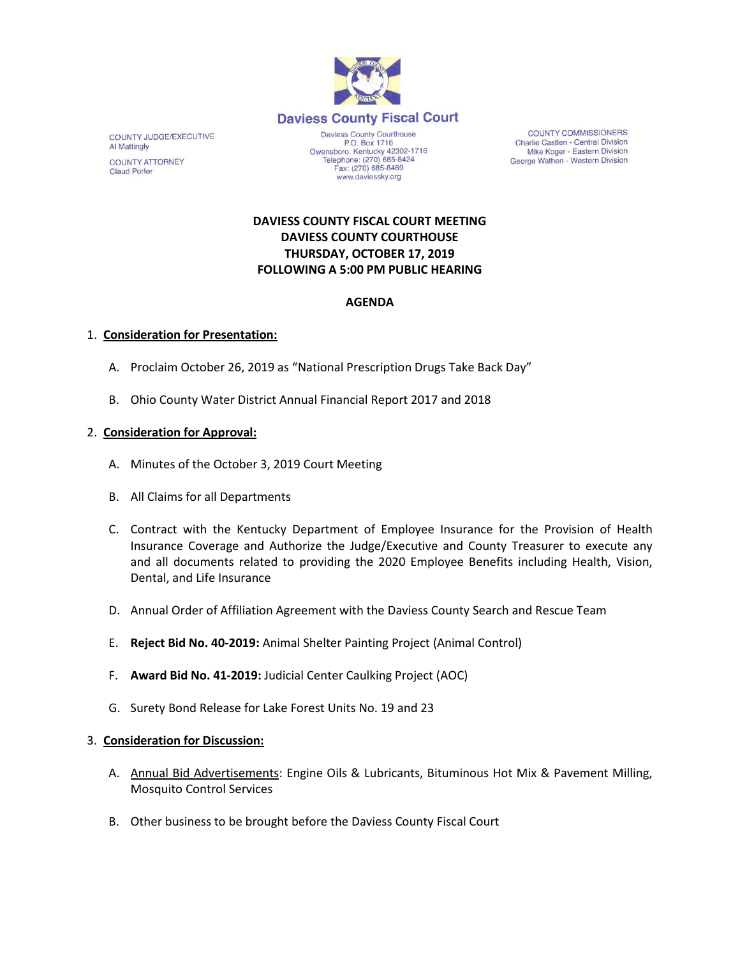

COUNTY JUDGE/EXECUTIVE **Al Mattingly COUNTY ATTORNEY Claud Porter** 

Daviess County Courthouse P.O. Box 1716 P.O. Box 1716<br>Owensboro, Kentucky 42302-1716<br>Telephone: (270) 685-8424 Fax: (270) 685-8469 www.daviessky.org

**COUNTY COMMISSIONERS** Charlie Castlen - Central Division Mike Koger - Eastern Division George Wathen - Western Division

# **DAVIESS COUNTY FISCAL COURT MEETING DAVIESS COUNTY COURTHOUSE THURSDAY, OCTOBER 17, 2019 FOLLOWING A 5:00 PM PUBLIC HEARING**

## **AGENDA**

## 1. **Consideration for Presentation:**

- A. Proclaim October 26, 2019 as "National Prescription Drugs Take Back Day"
- B. Ohio County Water District Annual Financial Report 2017 and 2018

#### 2. **Consideration for Approval:**

- A. Minutes of the October 3, 2019 Court Meeting
- B. All Claims for all Departments
- C. Contract with the Kentucky Department of Employee Insurance for the Provision of Health Insurance Coverage and Authorize the Judge/Executive and County Treasurer to execute any and all documents related to providing the 2020 Employee Benefits including Health, Vision, Dental, and Life Insurance
- D. Annual Order of Affiliation Agreement with the Daviess County Search and Rescue Team
- E. **Reject Bid No. 40-2019:** Animal Shelter Painting Project (Animal Control)
- F. **Award Bid No. 41-2019:** Judicial Center Caulking Project (AOC)
- G. Surety Bond Release for Lake Forest Units No. 19 and 23

#### 3. **Consideration for Discussion:**

- A. **Annual Bid Advertisements: Engine Oils & Lubricants, Bituminous Hot Mix & Pavement Milling,** Mosquito Control Services
- B. Other business to be brought before the Daviess County Fiscal Court